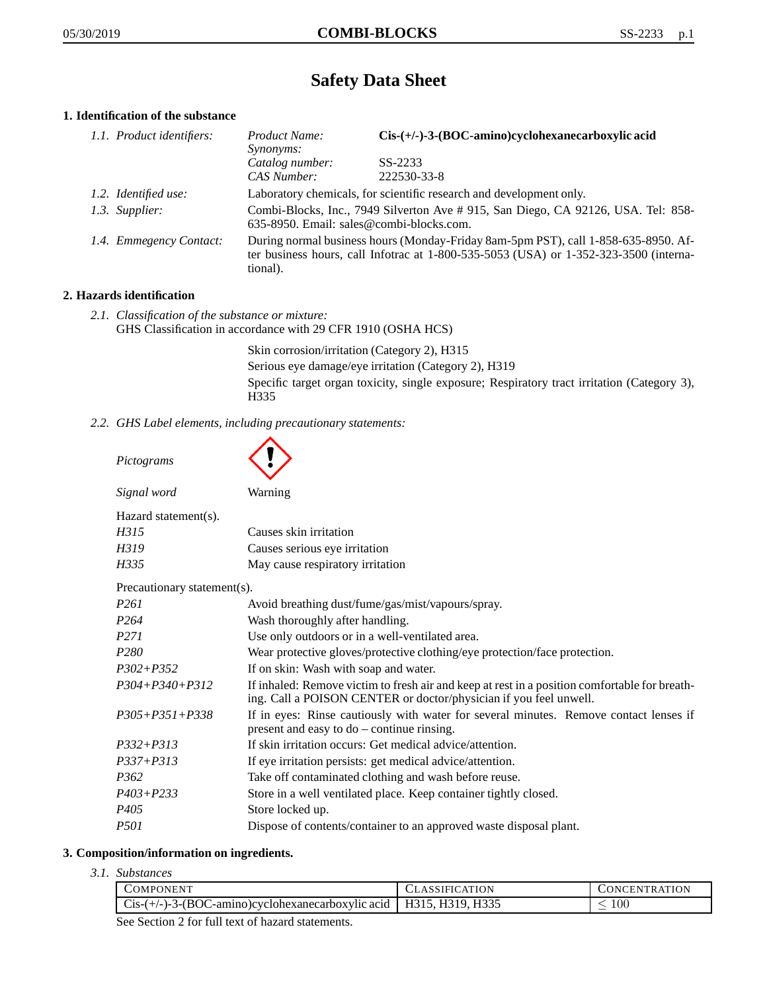# **Safety Data Sheet**

## **1. Identification of the substance**

| 1.1. Product identifiers: | Cis-(+/-)-3-(BOC-amino)cyclohexanecarboxylic acid<br>Product Name:<br>Synonyms:                                                                                                             |                        |  |
|---------------------------|---------------------------------------------------------------------------------------------------------------------------------------------------------------------------------------------|------------------------|--|
|                           | Catalog number:<br>CAS Number:                                                                                                                                                              | SS-2233<br>222530-33-8 |  |
| 1.2. Identified use:      | Laboratory chemicals, for scientific research and development only.                                                                                                                         |                        |  |
| 1.3. Supplier:            | Combi-Blocks, Inc., 7949 Silverton Ave #915, San Diego, CA 92126, USA. Tel: 858-<br>635-8950. Email: sales@combi-blocks.com.                                                                |                        |  |
| 1.4. Emmegency Contact:   | During normal business hours (Monday-Friday 8am-5pm PST), call 1-858-635-8950. Af-<br>ter business hours, call Infotrac at $1-800-535-5053$ (USA) or $1-352-323-3500$ (interna-<br>tional). |                        |  |

## **2. Hazards identification**

*2.1. Classification of the substance or mixture:* GHS Classification in accordance with 29 CFR 1910 (OSHA HCS)

> Skin corrosion/irritation (Category 2), H315 Serious eye damage/eye irritation (Category 2), H319 Specific target organ toxicity, single exposure; Respiratory tract irritation (Category 3), H335

*2.2. GHS Label elements, including precautionary statements:*

| Pictograms                  |                                                                                                                                                                    |
|-----------------------------|--------------------------------------------------------------------------------------------------------------------------------------------------------------------|
| Signal word                 | Warning                                                                                                                                                            |
| Hazard statement(s).        |                                                                                                                                                                    |
| H315                        | Causes skin irritation                                                                                                                                             |
| H319                        | Causes serious eye irritation                                                                                                                                      |
| H335                        | May cause respiratory irritation                                                                                                                                   |
| Precautionary statement(s). |                                                                                                                                                                    |
| P <sub>261</sub>            | Avoid breathing dust/fume/gas/mist/vapours/spray.                                                                                                                  |
| P <sub>264</sub>            | Wash thoroughly after handling.                                                                                                                                    |
| P <sub>271</sub>            | Use only outdoors or in a well-ventilated area.                                                                                                                    |
| P <sub>280</sub>            | Wear protective gloves/protective clothing/eye protection/face protection.                                                                                         |
| $P302 + P352$               | If on skin: Wash with soap and water.                                                                                                                              |
| $P304 + P340 + P312$        | If inhaled: Remove victim to fresh air and keep at rest in a position comfortable for breath-<br>ing. Call a POISON CENTER or doctor/physician if you feel unwell. |
| $P305 + P351 + P338$        | If in eyes: Rinse cautiously with water for several minutes. Remove contact lenses if<br>present and easy to do – continue rinsing.                                |
| $P332 + P313$               | If skin irritation occurs: Get medical advice/attention.                                                                                                           |
| $P337 + P313$               | If eye irritation persists: get medical advice/attention.                                                                                                          |
| P362                        | Take off contaminated clothing and wash before reuse.                                                                                                              |
| $P403 + P233$               | Store in a well ventilated place. Keep container tightly closed.                                                                                                   |
| P <sub>405</sub>            | Store locked up.                                                                                                                                                   |
| P501                        | Dispose of contents/container to an approved waste disposal plant.                                                                                                 |

# **3. Composition/information on ingredients.**

*3.1. Substances*

| COMPONENT!                                                                              | <b>ATION</b>              | ATION<br>ON'<br>:EN<br>'I'R A'I'    |
|-----------------------------------------------------------------------------------------|---------------------------|-------------------------------------|
| $(-)-3-(BOC -$<br>⊱amino<br>b) evelohexanecarboxylic acid<br>$\mathcal{L}$ 18- $\prime$ | H315<br>H310 H335<br><br> | $100\,$<br>$\overline{\phantom{a}}$ |

See Section 2 for full text of hazard statements.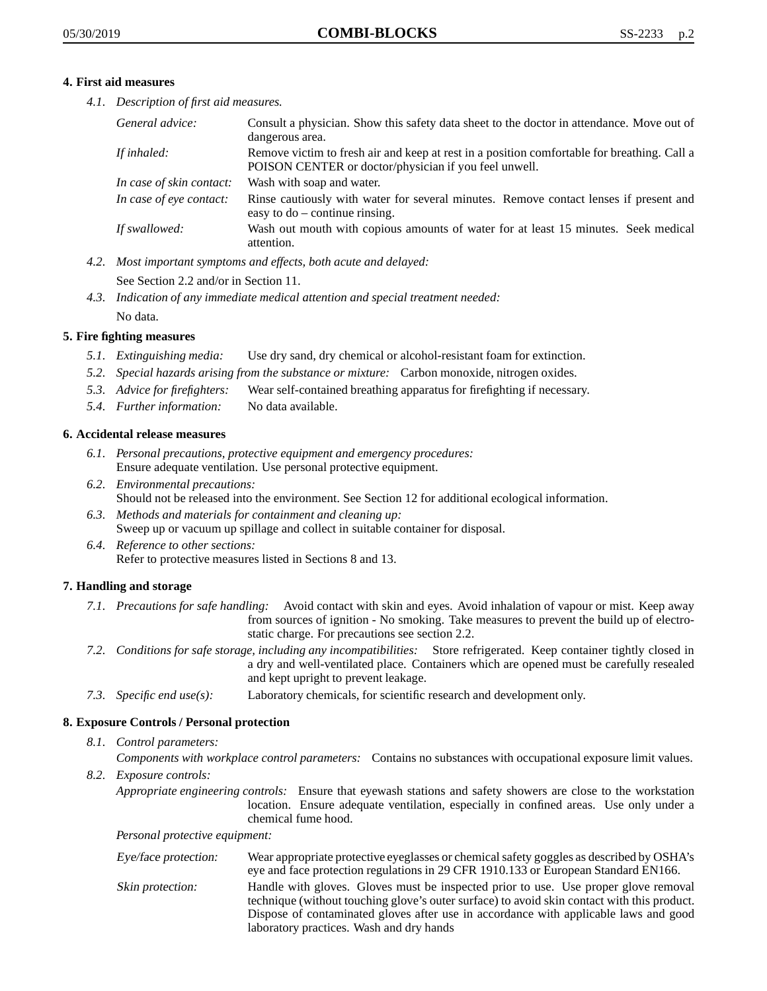#### **4. First aid measures**

*4.1. Description of first aid measures.*

| General advice:          | Consult a physician. Show this safety data sheet to the doctor in attendance. Move out of<br>dangerous area.                                         |
|--------------------------|------------------------------------------------------------------------------------------------------------------------------------------------------|
| If inhaled:              | Remove victim to fresh air and keep at rest in a position comfortable for breathing. Call a<br>POISON CENTER or doctor/physician if you feel unwell. |
| In case of skin contact: | Wash with soap and water.                                                                                                                            |
| In case of eye contact:  | Rinse cautiously with water for several minutes. Remove contact lenses if present and<br>easy to $do$ – continue rinsing.                            |
| If swallowed:            | Wash out mouth with copious amounts of water for at least 15 minutes. Seek medical<br>attention.                                                     |

*4.2. Most important symptoms and effects, both acute and delayed:*

See Section 2.2 and/or in Section 11.

*4.3. Indication of any immediate medical attention and special treatment needed:* No data.

## **5. Fire fighting measures**

- *5.1. Extinguishing media:* Use dry sand, dry chemical or alcohol-resistant foam for extinction.
- *5.2. Special hazards arising from the substance or mixture:* Carbon monoxide, nitrogen oxides.
- *5.3. Advice for firefighters:* Wear self-contained breathing apparatus for firefighting if necessary.
- *5.4. Further information:* No data available.

# **6. Accidental release measures**

- *6.1. Personal precautions, protective equipment and emergency procedures:* Ensure adequate ventilation. Use personal protective equipment.
- *6.2. Environmental precautions:* Should not be released into the environment. See Section 12 for additional ecological information.
- *6.3. Methods and materials for containment and cleaning up:* Sweep up or vacuum up spillage and collect in suitable container for disposal.
- *6.4. Reference to other sections:* Refer to protective measures listed in Sections 8 and 13.

## **7. Handling and storage**

- *7.1. Precautions for safe handling:* Avoid contact with skin and eyes. Avoid inhalation of vapour or mist. Keep away from sources of ignition - No smoking. Take measures to prevent the build up of electrostatic charge. For precautions see section 2.2.
- *7.2. Conditions for safe storage, including any incompatibilities:* Store refrigerated. Keep container tightly closed in a dry and well-ventilated place. Containers which are opened must be carefully resealed and kept upright to prevent leakage.
- *7.3. Specific end use(s):* Laboratory chemicals, for scientific research and development only.

## **8. Exposure Controls / Personal protection**

## *8.1. Control parameters:*

*Components with workplace control parameters:* Contains no substances with occupational exposure limit values.

*8.2. Exposure controls:*

*Appropriate engineering controls:* Ensure that eyewash stations and safety showers are close to the workstation location. Ensure adequate ventilation, especially in confined areas. Use only under a chemical fume hood.

*Personal protective equipment:*

| Eye/face protection: | Wear appropriate protective eyeglasses or chemical safety goggles as described by OSHA's<br>eye and face protection regulations in 29 CFR 1910.133 or European Standard EN166.                                                                                                                                         |
|----------------------|------------------------------------------------------------------------------------------------------------------------------------------------------------------------------------------------------------------------------------------------------------------------------------------------------------------------|
| Skin protection:     | Handle with gloves. Gloves must be inspected prior to use. Use proper glove removal<br>technique (without touching glove's outer surface) to avoid skin contact with this product.<br>Dispose of contaminated gloves after use in accordance with applicable laws and good<br>laboratory practices. Wash and dry hands |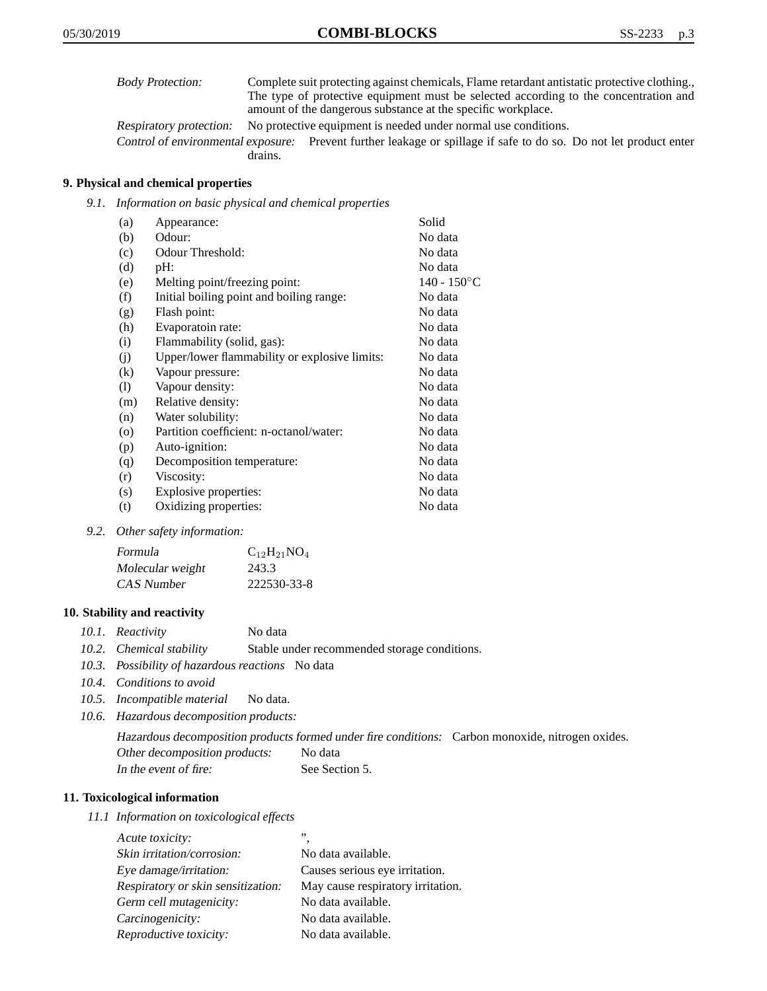| <b>Body Protection:</b> | Complete suit protecting against chemicals, Flame retardant antistatic protective clothing. |
|-------------------------|---------------------------------------------------------------------------------------------|
|                         | The type of protective equipment must be selected according to the concentration and        |
|                         | amount of the dangerous substance at the specific workplace.                                |
|                         |                                                                                             |

Respiratory protection: No protective equipment is needed under normal use conditions.

Control of environmental exposure: Prevent further leakage or spillage if safe to do so. Do not let product enter drains.

## **9. Physical and chemical properties**

*9.1. Information on basic physical and chemical properties*

| (a)                | Appearance:                                   | Solid          |
|--------------------|-----------------------------------------------|----------------|
| (b)                | Odour:                                        | No data        |
| (c)                | Odour Threshold:                              | No data        |
| (d)                | pH:                                           | No data        |
| (e)                | Melting point/freezing point:                 | $140 - 150$ °C |
| (f)                | Initial boiling point and boiling range:      | No data        |
| (g)                | Flash point:                                  | No data        |
| (h)                | Evaporatoin rate:                             | No data        |
| (i)                | Flammability (solid, gas):                    | No data        |
| (j)                | Upper/lower flammability or explosive limits: | No data        |
| $\rm(k)$           | Vapour pressure:                              | No data        |
| (1)                | Vapour density:                               | No data        |
| (m)                | Relative density:                             | No data        |
| (n)                | Water solubility:                             | No data        |
| $\left( 0 \right)$ | Partition coefficient: n-octanol/water:       | No data        |
| (p)                | Auto-ignition:                                | No data        |
| (q)                | Decomposition temperature:                    | No data        |
| (r)                | Viscosity:                                    | No data        |
| (s)                | Explosive properties:                         | No data        |
| (t)                | Oxidizing properties:                         | No data        |
|                    |                                               |                |

*9.2. Other safety information:*

| Formula          | $C_{12}H_{21}NO_4$ |
|------------------|--------------------|
| Molecular weight | 243.3              |
| CAS Number       | 222530-33-8        |

#### **10. Stability and reactivity**

|  | 10.1. Reactivity | No data |
|--|------------------|---------|
|--|------------------|---------|

- *10.2. Chemical stability* Stable under recommended storage conditions.
- *10.3. Possibility of hazardous reactions* No data
- *10.4. Conditions to avoid*
- *10.5. Incompatible material* No data.
- *10.6. Hazardous decomposition products:*

Hazardous decomposition products formed under fire conditions: Carbon monoxide, nitrogen oxides. Other decomposition products: No data In the event of fire: See Section 5.

#### **11. Toxicological information**

*11.1 Information on toxicological effects*

| Acute toxicity:                    | ,,                                |
|------------------------------------|-----------------------------------|
| Skin irritation/corrosion:         | No data available.                |
| Eye damage/irritation:             | Causes serious eye irritation.    |
| Respiratory or skin sensitization: | May cause respiratory irritation. |
| Germ cell mutagenicity:            | No data available.                |
| Carcinogenicity:                   | No data available.                |
| Reproductive toxicity:             | No data available.                |